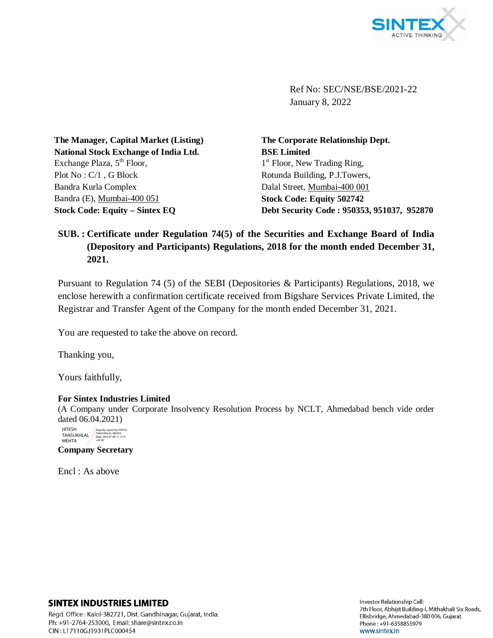

Ref No: SEC/NSE/BSE/2021-22 January 8, 2022

**The Manager, Capital Market (Listing) National Stock Exchange of India Ltd.** Exchange Plaza,  $5<sup>th</sup>$  Floor, Plot No : C/1 , G Block Bandra Kurla Complex Bandra (E), Mumbai-400 051 **Stock Code: Equity – Sintex EQ**

**The Corporate Relationship Dept. BSE Limited** 1<sup>st</sup> Floor, New Trading Ring, Rotunda Building, P.J.Towers, Dalal Street, Mumbai-400 001 **Stock Code: Equity 502742 Debt Security Code : 950353, 951037, 952870**

## **SUB. : Certificate under Regulation 74(5) of the Securities and Exchange Board of India (Depository and Participants) Regulations, 2018 for the month ended December 31, 2021.**

Pursuant to Regulation 74 (5) of the SEBI (Depositories & Participants) Regulations, 2018, we enclose herewith a confirmation certificate received from Bigshare Services Private Limited, the Registrar and Transfer Agent of the Company for the month ended December 31, 2021.

You are requested to take the above on record.

Thanking you,

Yours faithfully,

## **For Sintex Industries Limited**

(A Company under Corporate Insolvency Resolution Process by NCLT, Ahmedabad bench vide order dated 06.04.2021)



**Company Secretary**

Encl : As above

## **SINTEX INDUSTRIES LIMITED**

Regd. Office: Kalol-382721, Dist. Gandhinagar, Gujarat, India. Ph: +91-2764-253000, Email: share@sintex.co.in CIN: L17110GJ1931PLC000454

Investor Relationship Cell: 7th Floor, Abhijit Building-I, Mithakhali Six Roads, Ellisbridge, Ahmedabad-380 006, Gujarat. Phone: +91-6358855979 www.sintex.in